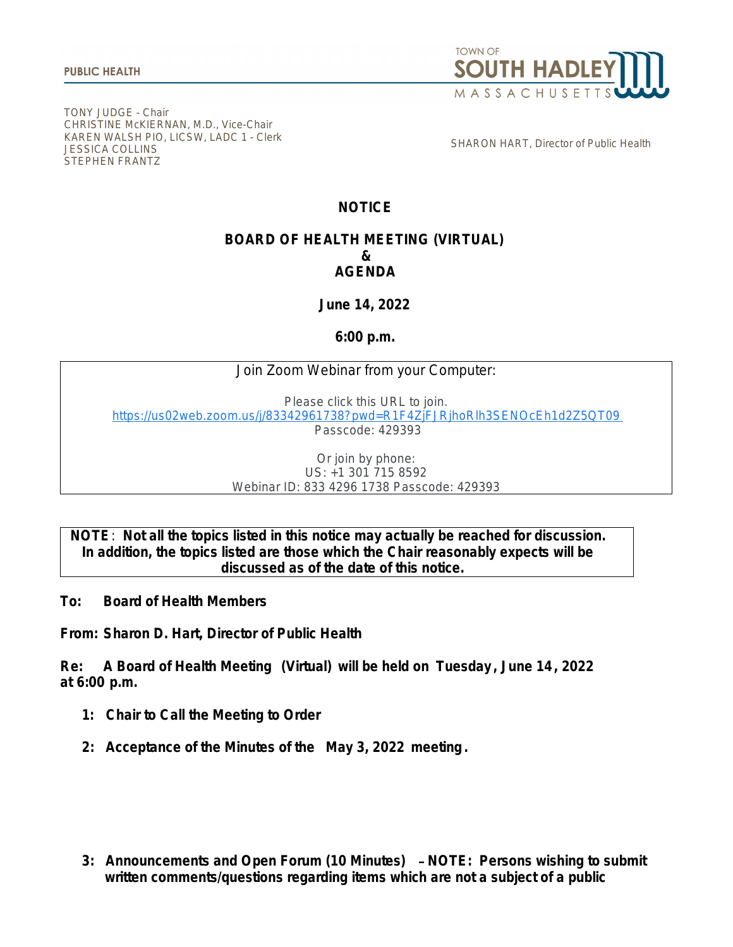

TONY JUDGE - Chair CHRISTINE McKIERNAN, M.D., Vice-Chair KAREN WALSH PIO, LICSW, LADC 1 - Clerk JESSICA COLLINS STEPHEN FRANTZ

SHARON HART, Director of Public Health

# **NOTICE**

## **BOARD OF HEALTH MEETING (VIRTUAL) & AGENDA**

**June 14, 2022**

**6:00 p.m.**

## Join Zoom Webinar from your Computer:

Please click this URL to join. [https://us02web.zoom.us/j/83342961738?pwd=R1F4ZjFJRjhoRlh3SENOcEh1d2Z5QT09](https://www.google.com/url?q=https://us02web.zoom.us/j/83342961738?pwd%3DR1F4ZjFJRjhoRlh3SENOcEh1d2Z5QT09&sa=D&source=calendar&ust=1655037643433248&usg=AOvVaw2kitXR2YKOnv7Mv463RxWh) Passcode: 429393

> Or join by phone: US: +1 301 715 8592 Webinar ID: 833 4296 1738 Passcode: 429393

## **NOTE**: **Not all the topics listed in this notice may actually be reached for discussion. In addition, the topics listed are those which the Chair reasonably expects will be discussed as of the date of this notice.**

**To: Board of Health Members**

**From: Sharon D. Hart, Director of Public Health**

**Re: A Board of Health Meeting (Virtual) will be held on Tuesday , June 14, 2022 at 6:00 p.m.**

- **1: Chair to Call the Meeting to Order**
- **2: Acceptance of the Minutes of the May 3, 2022 meeting.**

**3: Announcements and Open Forum (10 Minutes)** – **NOTE: Persons wishing to submit written comments/questions regarding items which are not a subject of a public**